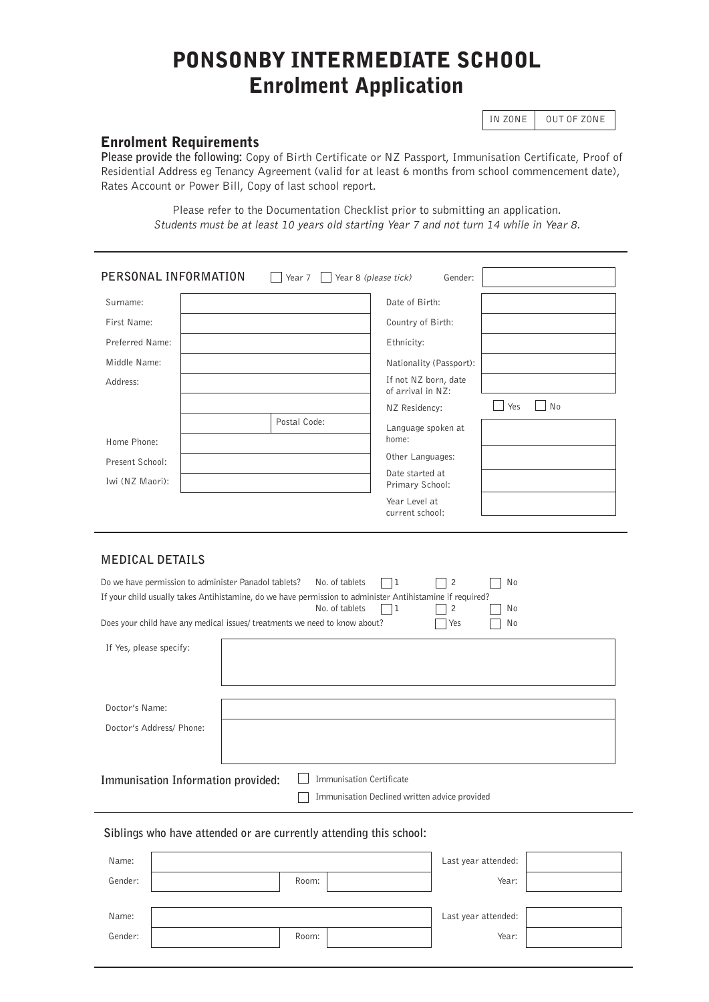# PONSONBY INTERMEDIATE SCHOOL Enrolment Application

IN ZONE | OUT OF ZONE

## Enrolment Requirements

**Please provide the following:** Copy of Birth Certificate or NZ Passport, Immunisation Certificate, Proof of Residential Address eg Tenancy Agreement (valid for at least 6 months from school commencement date), Rates Account or Power Bill, Copy of last school report.

> Please refer to the Documentation Checklist prior to submitting an application. Students must be at least 10 years old starting Year 7 and not turn 14 while in Year 8.

| PERSONAL INFORMATION | Year $7$   Year 8 (please tick) | Gender:                                   |           |
|----------------------|---------------------------------|-------------------------------------------|-----------|
| Surname:             |                                 | Date of Birth:                            |           |
| First Name:          |                                 | Country of Birth:                         |           |
| Preferred Name:      |                                 | Ethnicity:                                |           |
| Middle Name:         |                                 | Nationality (Passport):                   |           |
| Address:             |                                 | If not NZ born, date<br>of arrival in NZ: |           |
|                      |                                 | NZ Residency:                             | No<br>Yes |
|                      | Postal Code:                    | Language spoken at                        |           |
| Home Phone:          |                                 | home:                                     |           |
| Present School:      |                                 | Other Languages:                          |           |
| Iwi (NZ Maori):      |                                 | Date started at<br>Primary School:        |           |
|                      |                                 | Year Level at<br>current school:          |           |

## **MEDICAL DETAILS**

| Do we have permission to administer Panadol tablets?<br>If your child usually takes Antihistamine, do we have permission to administer Antihistamine if required?<br>Does your child have any medical issues/ treatments we need to know about? | No. of tablets<br>No. of tablets                                                 | 1 | $\overline{2}$<br>$\overline{2}$<br>Yes | No<br>No<br>No |  |
|-------------------------------------------------------------------------------------------------------------------------------------------------------------------------------------------------------------------------------------------------|----------------------------------------------------------------------------------|---|-----------------------------------------|----------------|--|
| If Yes, please specify:                                                                                                                                                                                                                         |                                                                                  |   |                                         |                |  |
| Doctor's Name:<br>Doctor's Address/ Phone:                                                                                                                                                                                                      |                                                                                  |   |                                         |                |  |
| Immunisation Information provided:                                                                                                                                                                                                              | <b>Immunisation Certificate</b><br>Immunisation Declined written advice provided |   |                                         |                |  |

## **Siblings who have attended or are currently attending this school:**

| Name:   |       | Last year attended: |  |
|---------|-------|---------------------|--|
| Gender: | Room: | Year:               |  |
|         |       |                     |  |
|         |       |                     |  |
| Name:   |       | Last year attended: |  |
| Gender: | Room: | Year:               |  |